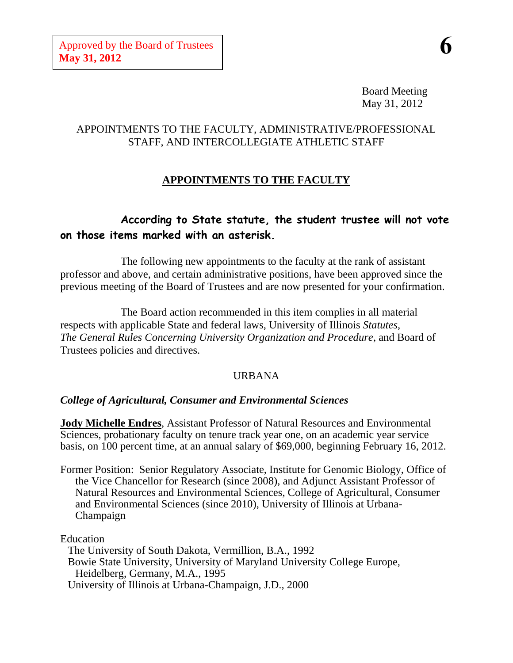Board Meeting May 31, 2012

# APPOINTMENTS TO THE FACULTY, ADMINISTRATIVE/PROFESSIONAL STAFF, AND INTERCOLLEGIATE ATHLETIC STAFF

# **APPOINTMENTS TO THE FACULTY**

# **According to State statute, the student trustee will not vote on those items marked with an asterisk.**

The following new appointments to the faculty at the rank of assistant professor and above, and certain administrative positions, have been approved since the previous meeting of the Board of Trustees and are now presented for your confirmation.

The Board action recommended in this item complies in all material respects with applicable State and federal laws, University of Illinois *Statutes*, *The General Rules Concerning University Organization and Procedure*, and Board of Trustees policies and directives.

## URBANA

## *College of Agricultural, Consumer and Environmental Sciences*

**Jody Michelle Endres**, Assistant Professor of Natural Resources and Environmental Sciences, probationary faculty on tenure track year one, on an academic year service basis, on 100 percent time, at an annual salary of \$69,000, beginning February 16, 2012.

Former Position: Senior Regulatory Associate, Institute for Genomic Biology, Office of the Vice Chancellor for Research (since 2008), and Adjunct Assistant Professor of Natural Resources and Environmental Sciences, College of Agricultural, Consumer and Environmental Sciences (since 2010), University of Illinois at Urbana-Champaign

Education

The University of South Dakota, Vermillion, B.A., 1992 Bowie State University, University of Maryland University College Europe, Heidelberg, Germany, M.A., 1995 University of Illinois at Urbana-Champaign, J.D., 2000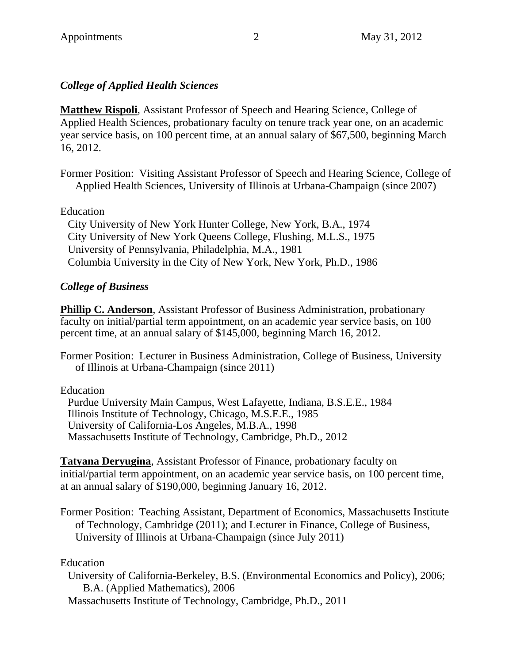# *College of Applied Health Sciences*

**Matthew Rispoli**, Assistant Professor of Speech and Hearing Science, College of Applied Health Sciences, probationary faculty on tenure track year one, on an academic year service basis, on 100 percent time, at an annual salary of \$67,500, beginning March 16, 2012.

Former Position: Visiting Assistant Professor of Speech and Hearing Science, College of Applied Health Sciences, University of Illinois at Urbana-Champaign (since 2007)

## Education

City University of New York Hunter College, New York, B.A., 1974 City University of New York Queens College, Flushing, M.L.S., 1975 University of Pennsylvania, Philadelphia, M.A., 1981 Columbia University in the City of New York, New York, Ph.D., 1986

# *College of Business*

**Phillip C. Anderson**, Assistant Professor of Business Administration, probationary faculty on initial/partial term appointment, on an academic year service basis, on 100 percent time, at an annual salary of \$145,000, beginning March 16, 2012.

Former Position: Lecturer in Business Administration, College of Business, University of Illinois at Urbana-Champaign (since 2011)

Education

Purdue University Main Campus, West Lafayette, Indiana, B.S.E.E., 1984 Illinois Institute of Technology, Chicago, M.S.E.E., 1985 University of California-Los Angeles, M.B.A., 1998 Massachusetts Institute of Technology, Cambridge, Ph.D., 2012

**Tatyana Deryugina**, Assistant Professor of Finance, probationary faculty on initial/partial term appointment, on an academic year service basis, on 100 percent time, at an annual salary of \$190,000, beginning January 16, 2012.

Former Position: Teaching Assistant, Department of Economics, Massachusetts Institute of Technology, Cambridge (2011); and Lecturer in Finance, College of Business, University of Illinois at Urbana-Champaign (since July 2011)

Education

University of California-Berkeley, B.S. (Environmental Economics and Policy), 2006; B.A. (Applied Mathematics), 2006

Massachusetts Institute of Technology, Cambridge, Ph.D., 2011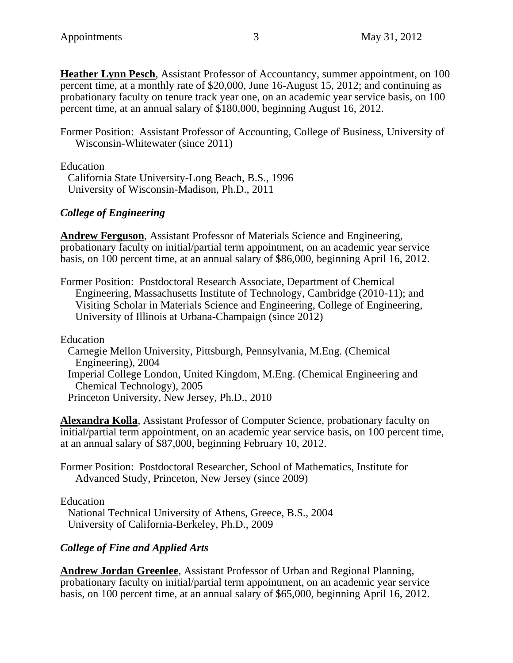**Heather Lynn Pesch**, Assistant Professor of Accountancy, summer appointment, on 100 percent time, at a monthly rate of \$20,000, June 16-August 15, 2012; and continuing as probationary faculty on tenure track year one, on an academic year service basis, on 100 percent time, at an annual salary of \$180,000, beginning August 16, 2012.

Former Position: Assistant Professor of Accounting, College of Business, University of Wisconsin-Whitewater (since 2011)

Education

California State University-Long Beach, B.S., 1996 University of Wisconsin-Madison, Ph.D., 2011

#### *College of Engineering*

**Andrew Ferguson**, Assistant Professor of Materials Science and Engineering, probationary faculty on initial/partial term appointment, on an academic year service basis, on 100 percent time, at an annual salary of \$86,000, beginning April 16, 2012.

Former Position: Postdoctoral Research Associate, Department of Chemical Engineering, Massachusetts Institute of Technology, Cambridge (2010-11); and Visiting Scholar in Materials Science and Engineering, College of Engineering, University of Illinois at Urbana-Champaign (since 2012)

Education

Carnegie Mellon University, Pittsburgh, Pennsylvania, M.Eng. (Chemical Engineering), 2004

Imperial College London, United Kingdom, M.Eng. (Chemical Engineering and Chemical Technology), 2005

Princeton University, New Jersey, Ph.D., 2010

**Alexandra Kolla**, Assistant Professor of Computer Science, probationary faculty on initial/partial term appointment, on an academic year service basis, on 100 percent time, at an annual salary of \$87,000, beginning February 10, 2012.

Former Position: Postdoctoral Researcher, School of Mathematics, Institute for Advanced Study, Princeton, New Jersey (since 2009)

Education

National Technical University of Athens, Greece, B.S., 2004 University of California-Berkeley, Ph.D., 2009

## *College of Fine and Applied Arts*

**Andrew Jordan Greenlee**, Assistant Professor of Urban and Regional Planning, probationary faculty on initial/partial term appointment, on an academic year service basis, on 100 percent time, at an annual salary of \$65,000, beginning April 16, 2012.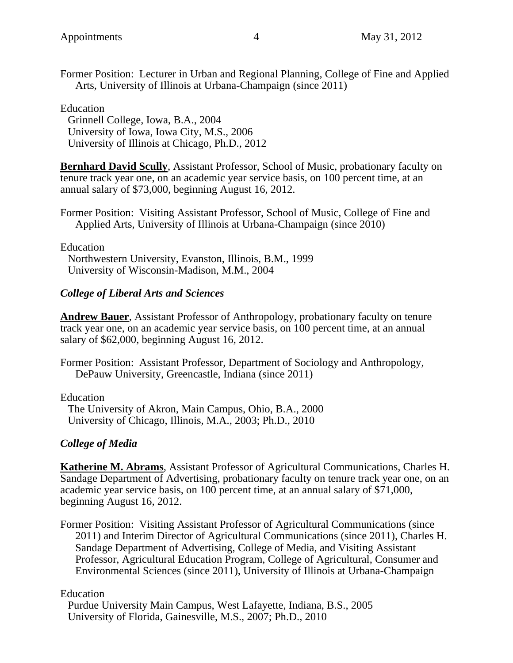Former Position: Lecturer in Urban and Regional Planning, College of Fine and Applied Arts, University of Illinois at Urbana-Champaign (since 2011)

#### Education

Grinnell College, Iowa, B.A., 2004 University of Iowa, Iowa City, M.S., 2006 University of Illinois at Chicago, Ph.D., 2012

**Bernhard David Scully**, Assistant Professor, School of Music, probationary faculty on tenure track year one, on an academic year service basis, on 100 percent time, at an annual salary of \$73,000, beginning August 16, 2012.

Former Position: Visiting Assistant Professor, School of Music, College of Fine and Applied Arts, University of Illinois at Urbana-Champaign (since 2010)

Education

Northwestern University, Evanston, Illinois, B.M., 1999 University of Wisconsin-Madison, M.M., 2004

## *College of Liberal Arts and Sciences*

**Andrew Bauer**, Assistant Professor of Anthropology, probationary faculty on tenure track year one, on an academic year service basis, on 100 percent time, at an annual salary of \$62,000, beginning August 16, 2012.

Former Position: Assistant Professor, Department of Sociology and Anthropology, DePauw University, Greencastle, Indiana (since 2011)

Education

The University of Akron, Main Campus, Ohio, B.A., 2000 University of Chicago, Illinois, M.A., 2003; Ph.D., 2010

## *College of Media*

**Katherine M. Abrams**, Assistant Professor of Agricultural Communications, Charles H. Sandage Department of Advertising, probationary faculty on tenure track year one, on an academic year service basis, on 100 percent time, at an annual salary of \$71,000, beginning August 16, 2012.

Former Position: Visiting Assistant Professor of Agricultural Communications (since 2011) and Interim Director of Agricultural Communications (since 2011), Charles H. Sandage Department of Advertising, College of Media, and Visiting Assistant Professor, Agricultural Education Program, College of Agricultural, Consumer and Environmental Sciences (since 2011), University of Illinois at Urbana-Champaign

#### Education

Purdue University Main Campus, West Lafayette, Indiana, B.S., 2005 University of Florida, Gainesville, M.S., 2007; Ph.D., 2010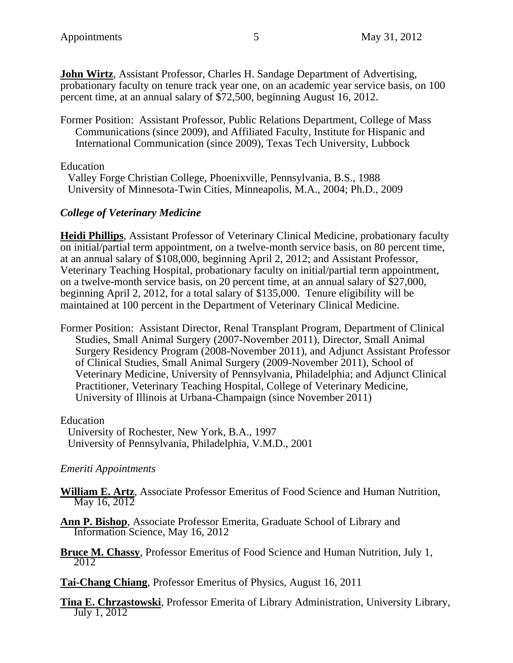**John Wirtz**, Assistant Professor, Charles H. Sandage Department of Advertising, probationary faculty on tenure track year one, on an academic year service basis, on 100 percent time, at an annual salary of \$72,500, beginning August 16, 2012.

Former Position: Assistant Professor, Public Relations Department, College of Mass Communications (since 2009), and Affiliated Faculty, Institute for Hispanic and International Communication (since 2009), Texas Tech University, Lubbock

Education

Valley Forge Christian College, Phoenixville, Pennsylvania, B.S., 1988 University of Minnesota-Twin Cities, Minneapolis, M.A., 2004; Ph.D., 2009

# *College of Veterinary Medicine*

**Heidi Phillips**, Assistant Professor of Veterinary Clinical Medicine, probationary faculty on initial/partial term appointment, on a twelve-month service basis, on 80 percent time, at an annual salary of \$108,000, beginning April 2, 2012; and Assistant Professor, Veterinary Teaching Hospital, probationary faculty on initial/partial term appointment, on a twelve-month service basis, on 20 percent time, at an annual salary of \$27,000, beginning April 2, 2012, for a total salary of \$135,000. Tenure eligibility will be maintained at 100 percent in the Department of Veterinary Clinical Medicine.

Former Position: Assistant Director, Renal Transplant Program, Department of Clinical Studies, Small Animal Surgery (2007-November 2011), Director, Small Animal Surgery Residency Program (2008-November 2011), and Adjunct Assistant Professor of Clinical Studies, Small Animal Surgery (2009-November 2011), School of Veterinary Medicine, University of Pennsylvania, Philadelphia; and Adjunct Clinical Practitioner, Veterinary Teaching Hospital, College of Veterinary Medicine, University of Illinois at Urbana-Champaign (since November 2011)

Education

University of Rochester, New York, B.A., 1997 University of Pennsylvania, Philadelphia, V.M.D., 2001

## *Emeriti Appointments*

**William E. Artz**, Associate Professor Emeritus of Food Science and Human Nutrition, May 16, 2012

**Ann P. Bishop**, Associate Professor Emerita, Graduate School of Library and Information Science, May 16, 2012

**Bruce M. Chassy**, Professor Emeritus of Food Science and Human Nutrition, July 1, 2012

**Tai-Chang Chiang**, Professor Emeritus of Physics, August 16, 2011

**Tina E. Chrzastowski**, Professor Emerita of Library Administration, University Library, July 1, 2012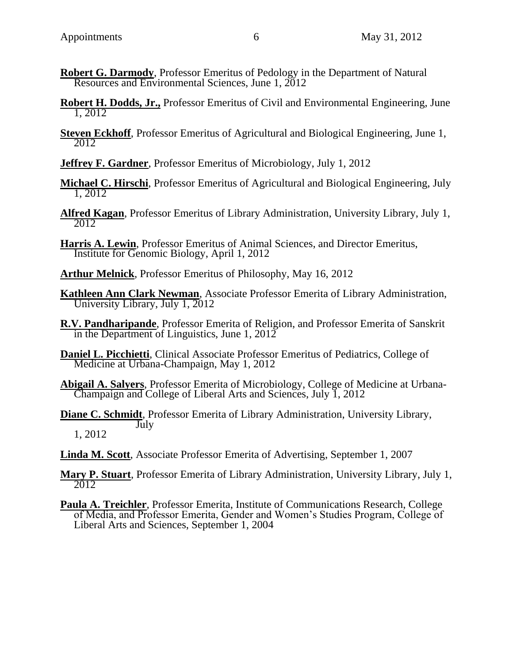- **Robert G. Darmody**, Professor Emeritus of Pedology in the Department of Natural Resources and Environmental Sciences, June 1, 2012
- **Robert H. Dodds, Jr.,** Professor Emeritus of Civil and Environmental Engineering, June 1, 2012
- **Steven Eckhoff**, Professor Emeritus of Agricultural and Biological Engineering, June 1, 2012
- **Jeffrey F. Gardner**, Professor Emeritus of Microbiology, July 1, 2012
- **Michael C. Hirschi**, Professor Emeritus of Agricultural and Biological Engineering, July 1, 2012
- **Alfred Kagan**, Professor Emeritus of Library Administration, University Library, July 1, 2012
- **Harris A. Lewin**, Professor Emeritus of Animal Sciences, and Director Emeritus, Institute for Genomic Biology, April 1, 2012
- **Arthur Melnick**, Professor Emeritus of Philosophy, May 16, 2012
- **Kathleen Ann Clark Newman**, Associate Professor Emerita of Library Administration, University Library, July 1, 2012
- **R.V. Pandharipande**, Professor Emerita of Religion, and Professor Emerita of Sanskrit in the Department of Linguistics, June 1,  $201\overline{2}$
- **Daniel L. Picchietti**, Clinical Associate Professor Emeritus of Pediatrics, College of Medicine at Urbana-Champaign, May 1, 2012
- **Abigail A. Salyers**, Professor Emerita of Microbiology, College of Medicine at Urbana- Champaign and College of Liberal Arts and Sciences, July 1, 2012
- **Diane C. Schmidt**, Professor Emerita of Library Administration, University Library, **July** 1, 2012
- **Linda M. Scott**, Associate Professor Emerita of Advertising, September 1, 2007
- **Mary P. Stuart**, Professor Emerita of Library Administration, University Library, July 1, 2012
- **Paula A. Treichler**, Professor Emerita, Institute of Communications Research, College of Media, and Professor Emerita, Gender and Women's Studies Program, College of Liberal Arts and Sciences, September 1, 2004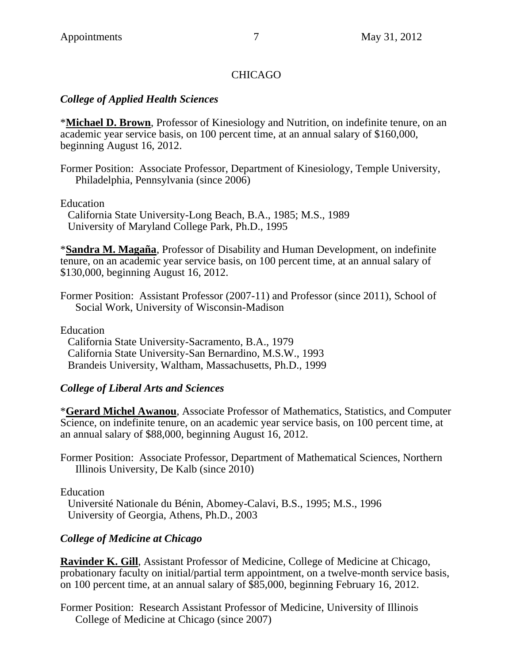# **CHICAGO**

## *College of Applied Health Sciences*

\***Michael D. Brown**, Professor of Kinesiology and Nutrition, on indefinite tenure, on an academic year service basis, on 100 percent time, at an annual salary of \$160,000, beginning August 16, 2012.

Former Position: Associate Professor, Department of Kinesiology, Temple University, Philadelphia, Pennsylvania (since 2006)

Education

California State University-Long Beach, B.A., 1985; M.S., 1989 University of Maryland College Park, Ph.D., 1995

\***Sandra M. Magaña**, Professor of Disability and Human Development, on indefinite tenure, on an academic year service basis, on 100 percent time, at an annual salary of \$130,000, beginning August 16, 2012.

Former Position: Assistant Professor (2007-11) and Professor (since 2011), School of Social Work, University of Wisconsin-Madison

Education

California State University-Sacramento, B.A., 1979 California State University-San Bernardino, M.S.W., 1993 Brandeis University, Waltham, Massachusetts, Ph.D., 1999

## *College of Liberal Arts and Sciences*

\***Gerard Michel Awanou**, Associate Professor of Mathematics, Statistics, and Computer Science, on indefinite tenure, on an academic year service basis, on 100 percent time, at an annual salary of \$88,000, beginning August 16, 2012.

Former Position: Associate Professor, Department of Mathematical Sciences, Northern Illinois University, De Kalb (since 2010)

Education

Université Nationale du Bénin, Abomey-Calavi, B.S., 1995; M.S., 1996 University of Georgia, Athens, Ph.D., 2003

# *College of Medicine at Chicago*

**Ravinder K. Gill**, Assistant Professor of Medicine, College of Medicine at Chicago, probationary faculty on initial/partial term appointment, on a twelve-month service basis, on 100 percent time, at an annual salary of \$85,000, beginning February 16, 2012.

Former Position: Research Assistant Professor of Medicine, University of Illinois College of Medicine at Chicago (since 2007)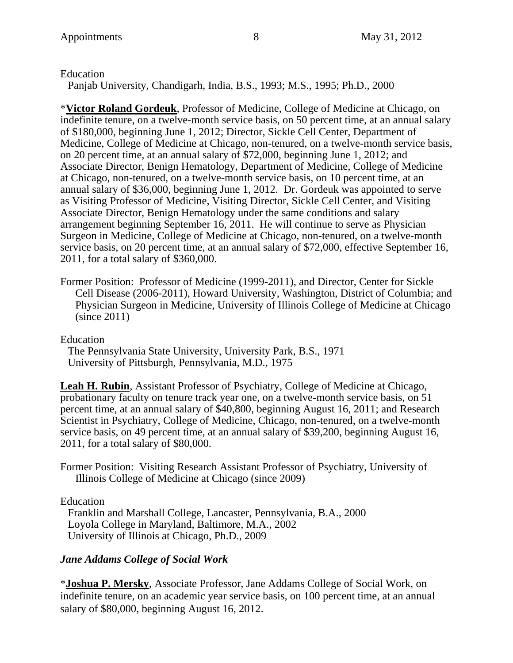Education

Panjab University, Chandigarh, India, B.S., 1993; M.S., 1995; Ph.D., 2000

\***Victor Roland Gordeuk**, Professor of Medicine, College of Medicine at Chicago, on indefinite tenure, on a twelve-month service basis, on 50 percent time, at an annual salary of \$180,000, beginning June 1, 2012; Director, Sickle Cell Center, Department of Medicine, College of Medicine at Chicago, non-tenured, on a twelve-month service basis, on 20 percent time, at an annual salary of \$72,000, beginning June 1, 2012; and Associate Director, Benign Hematology, Department of Medicine, College of Medicine at Chicago, non-tenured, on a twelve-month service basis, on 10 percent time, at an annual salary of \$36,000, beginning June 1, 2012. Dr. Gordeuk was appointed to serve as Visiting Professor of Medicine, Visiting Director, Sickle Cell Center, and Visiting Associate Director, Benign Hematology under the same conditions and salary arrangement beginning September 16, 2011. He will continue to serve as Physician Surgeon in Medicine, College of Medicine at Chicago, non-tenured, on a twelve-month service basis, on 20 percent time, at an annual salary of \$72,000, effective September 16, 2011, for a total salary of \$360,000.

Former Position: Professor of Medicine (1999-2011), and Director, Center for Sickle Cell Disease (2006-2011), Howard University, Washington, District of Columbia; and Physician Surgeon in Medicine, University of Illinois College of Medicine at Chicago (since 2011)

Education

The Pennsylvania State University, University Park, B.S., 1971 University of Pittsburgh, Pennsylvania, M.D., 1975

**Leah H. Rubin**, Assistant Professor of Psychiatry, College of Medicine at Chicago, probationary faculty on tenure track year one, on a twelve-month service basis, on 51 percent time, at an annual salary of \$40,800, beginning August 16, 2011; and Research Scientist in Psychiatry, College of Medicine, Chicago, non-tenured, on a twelve-month service basis, on 49 percent time, at an annual salary of \$39,200, beginning August 16, 2011, for a total salary of \$80,000.

Former Position: Visiting Research Assistant Professor of Psychiatry, University of Illinois College of Medicine at Chicago (since 2009)

Education

Franklin and Marshall College, Lancaster, Pennsylvania, B.A., 2000 Loyola College in Maryland, Baltimore, M.A., 2002 University of Illinois at Chicago, Ph.D., 2009

# *Jane Addams College of Social Work*

\***Joshua P. Mersky**, Associate Professor, Jane Addams College of Social Work, on indefinite tenure, on an academic year service basis, on 100 percent time, at an annual salary of \$80,000, beginning August 16, 2012.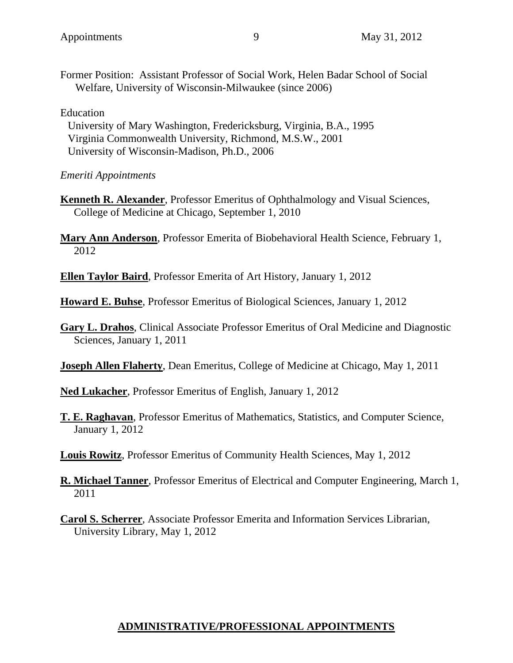Former Position: Assistant Professor of Social Work, Helen Badar School of Social Welfare, University of Wisconsin-Milwaukee (since 2006)

#### Education

University of Mary Washington, Fredericksburg, Virginia, B.A., 1995 Virginia Commonwealth University, Richmond, M.S.W., 2001 University of Wisconsin-Madison, Ph.D., 2006

## *Emeriti Appointments*

- **Kenneth R. Alexander**, Professor Emeritus of Ophthalmology and Visual Sciences, College of Medicine at Chicago, September 1, 2010
- **Mary Ann Anderson**, Professor Emerita of Biobehavioral Health Science, February 1, 2012
- **Ellen Taylor Baird**, Professor Emerita of Art History, January 1, 2012

**Howard E. Buhse**, Professor Emeritus of Biological Sciences, January 1, 2012

- **Gary L. Drahos**, Clinical Associate Professor Emeritus of Oral Medicine and Diagnostic Sciences, January 1, 2011
- **Joseph Allen Flaherty**, Dean Emeritus, College of Medicine at Chicago, May 1, 2011
- **Ned Lukacher**, Professor Emeritus of English, January 1, 2012
- **T. E. Raghavan**, Professor Emeritus of Mathematics, Statistics, and Computer Science, January 1, 2012

**Louis Rowitz**, Professor Emeritus of Community Health Sciences, May 1, 2012

- **R. Michael Tanner**, Professor Emeritus of Electrical and Computer Engineering, March 1, 2011
- **Carol S. Scherrer**, Associate Professor Emerita and Information Services Librarian, University Library, May 1, 2012

# **ADMINISTRATIVE/PROFESSIONAL APPOINTMENTS**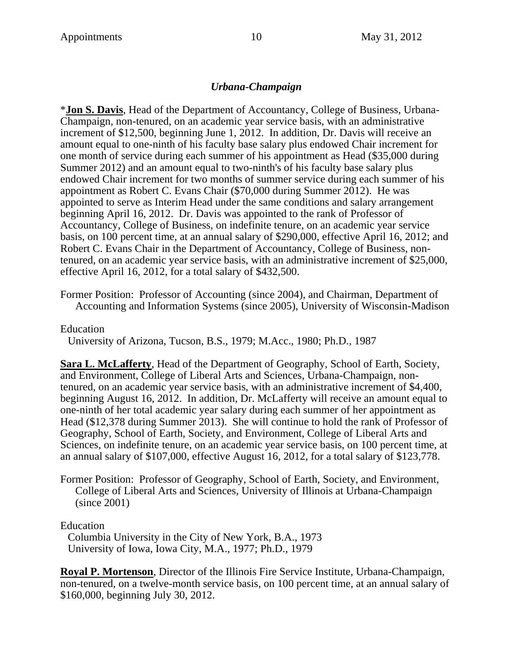### *Urbana-Champaign*

\***Jon S. Davis**, Head of the Department of Accountancy, College of Business, Urbana-Champaign, non-tenured, on an academic year service basis, with an administrative increment of \$12,500, beginning June 1, 2012. In addition, Dr. Davis will receive an amount equal to one-ninth of his faculty base salary plus endowed Chair increment for one month of service during each summer of his appointment as Head (\$35,000 during Summer 2012) and an amount equal to two-ninth's of his faculty base salary plus endowed Chair increment for two months of summer service during each summer of his appointment as Robert C. Evans Chair (\$70,000 during Summer 2012). He was appointed to serve as Interim Head under the same conditions and salary arrangement beginning April 16, 2012. Dr. Davis was appointed to the rank of Professor of Accountancy, College of Business, on indefinite tenure, on an academic year service basis, on 100 percent time, at an annual salary of \$290,000, effective April 16, 2012; and Robert C. Evans Chair in the Department of Accountancy, College of Business, nontenured, on an academic year service basis, with an administrative increment of \$25,000, effective April 16, 2012, for a total salary of \$432,500.

Former Position: Professor of Accounting (since 2004), and Chairman, Department of Accounting and Information Systems (since 2005), University of Wisconsin-Madison

Education

University of Arizona, Tucson, B.S., 1979; M.Acc., 1980; Ph.D., 1987

**Sara L. McLafferty**, Head of the Department of Geography, School of Earth, Society, and Environment, College of Liberal Arts and Sciences, Urbana-Champaign, nontenured, on an academic year service basis, with an administrative increment of \$4,400, beginning August 16, 2012. In addition, Dr. McLafferty will receive an amount equal to one-ninth of her total academic year salary during each summer of her appointment as Head (\$12,378 during Summer 2013). She will continue to hold the rank of Professor of Geography, School of Earth, Society, and Environment, College of Liberal Arts and Sciences, on indefinite tenure, on an academic year service basis, on 100 percent time, at an annual salary of \$107,000, effective August 16, 2012, for a total salary of \$123,778.

Former Position: Professor of Geography, School of Earth, Society, and Environment, College of Liberal Arts and Sciences, University of Illinois at Urbana-Champaign (since 2001)

Education

Columbia University in the City of New York, B.A., 1973 University of Iowa, Iowa City, M.A., 1977; Ph.D., 1979

**Royal P. Mortenson**, Director of the Illinois Fire Service Institute, Urbana-Champaign, non-tenured, on a twelve-month service basis, on 100 percent time, at an annual salary of \$160,000, beginning July 30, 2012.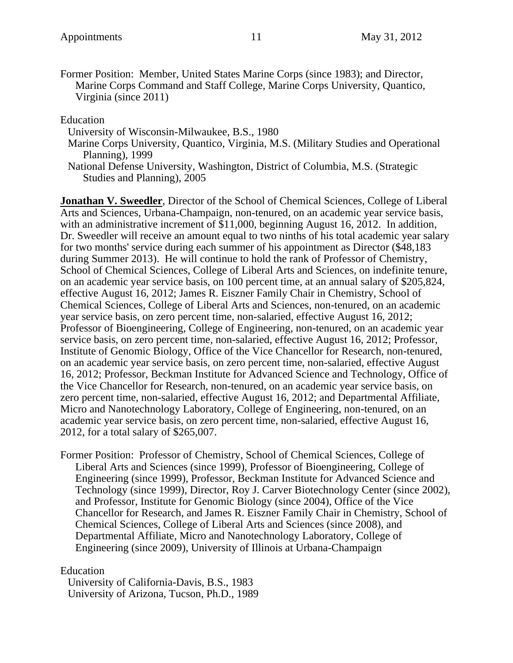Former Position: Member, United States Marine Corps (since 1983); and Director, Marine Corps Command and Staff College, Marine Corps University, Quantico, Virginia (since 2011)

Education

University of Wisconsin-Milwaukee, B.S., 1980

Marine Corps University, Quantico, Virginia, M.S. (Military Studies and Operational Planning), 1999

National Defense University, Washington, District of Columbia, M.S. (Strategic Studies and Planning), 2005

**Jonathan V. Sweedler**, Director of the School of Chemical Sciences, College of Liberal Arts and Sciences, Urbana-Champaign, non-tenured, on an academic year service basis, with an administrative increment of \$11,000, beginning August 16, 2012. In addition, Dr. Sweedler will receive an amount equal to two ninths of his total academic year salary for two months' service during each summer of his appointment as Director (\$48,183 during Summer 2013). He will continue to hold the rank of Professor of Chemistry, School of Chemical Sciences, College of Liberal Arts and Sciences, on indefinite tenure, on an academic year service basis, on 100 percent time, at an annual salary of \$205,824, effective August 16, 2012; James R. Eiszner Family Chair in Chemistry, School of Chemical Sciences, College of Liberal Arts and Sciences, non-tenured, on an academic year service basis, on zero percent time, non-salaried, effective August 16, 2012; Professor of Bioengineering, College of Engineering, non-tenured, on an academic year service basis, on zero percent time, non-salaried, effective August 16, 2012; Professor, Institute of Genomic Biology, Office of the Vice Chancellor for Research, non-tenured, on an academic year service basis, on zero percent time, non-salaried, effective August 16, 2012; Professor, Beckman Institute for Advanced Science and Technology, Office of the Vice Chancellor for Research, non-tenured, on an academic year service basis, on zero percent time, non-salaried, effective August 16, 2012; and Departmental Affiliate, Micro and Nanotechnology Laboratory, College of Engineering, non-tenured, on an academic year service basis, on zero percent time, non-salaried, effective August 16, 2012, for a total salary of \$265,007.

Former Position: Professor of Chemistry, School of Chemical Sciences, College of Liberal Arts and Sciences (since 1999), Professor of Bioengineering, College of Engineering (since 1999), Professor, Beckman Institute for Advanced Science and Technology (since 1999), Director, Roy J. Carver Biotechnology Center (since 2002), and Professor, Institute for Genomic Biology (since 2004), Office of the Vice Chancellor for Research, and James R. Eiszner Family Chair in Chemistry, School of Chemical Sciences, College of Liberal Arts and Sciences (since 2008), and Departmental Affiliate, Micro and Nanotechnology Laboratory, College of Engineering (since 2009), University of Illinois at Urbana-Champaign

#### Education

University of California-Davis, B.S., 1983 University of Arizona, Tucson, Ph.D., 1989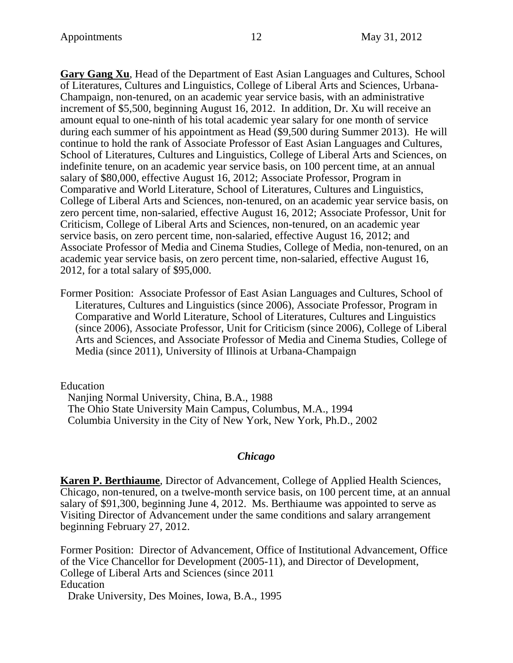**Gary Gang Xu**, Head of the Department of East Asian Languages and Cultures, School of Literatures, Cultures and Linguistics, College of Liberal Arts and Sciences, Urbana-Champaign, non-tenured, on an academic year service basis, with an administrative increment of \$5,500, beginning August 16, 2012. In addition, Dr. Xu will receive an amount equal to one-ninth of his total academic year salary for one month of service during each summer of his appointment as Head (\$9,500 during Summer 2013). He will continue to hold the rank of Associate Professor of East Asian Languages and Cultures, School of Literatures, Cultures and Linguistics, College of Liberal Arts and Sciences, on indefinite tenure, on an academic year service basis, on 100 percent time, at an annual salary of \$80,000, effective August 16, 2012; Associate Professor, Program in Comparative and World Literature, School of Literatures, Cultures and Linguistics, College of Liberal Arts and Sciences, non-tenured, on an academic year service basis, on zero percent time, non-salaried, effective August 16, 2012; Associate Professor, Unit for Criticism, College of Liberal Arts and Sciences, non-tenured, on an academic year service basis, on zero percent time, non-salaried, effective August 16, 2012; and Associate Professor of Media and Cinema Studies, College of Media, non-tenured, on an academic year service basis, on zero percent time, non-salaried, effective August 16, 2012, for a total salary of \$95,000.

Former Position: Associate Professor of East Asian Languages and Cultures, School of Literatures, Cultures and Linguistics (since 2006), Associate Professor, Program in Comparative and World Literature, School of Literatures, Cultures and Linguistics (since 2006), Associate Professor, Unit for Criticism (since 2006), College of Liberal Arts and Sciences, and Associate Professor of Media and Cinema Studies, College of Media (since 2011), University of Illinois at Urbana-Champaign

Education

Nanjing Normal University, China, B.A., 1988 The Ohio State University Main Campus, Columbus, M.A., 1994 Columbia University in the City of New York, New York, Ph.D., 2002

#### *Chicago*

**Karen P. Berthiaume**, Director of Advancement, College of Applied Health Sciences, Chicago, non-tenured, on a twelve-month service basis, on 100 percent time, at an annual salary of \$91,300, beginning June 4, 2012. Ms. Berthiaume was appointed to serve as Visiting Director of Advancement under the same conditions and salary arrangement beginning February 27, 2012.

Former Position: Director of Advancement, Office of Institutional Advancement, Office of the Vice Chancellor for Development (2005-11), and Director of Development, College of Liberal Arts and Sciences (since 2011 Education Drake University, Des Moines, Iowa, B.A., 1995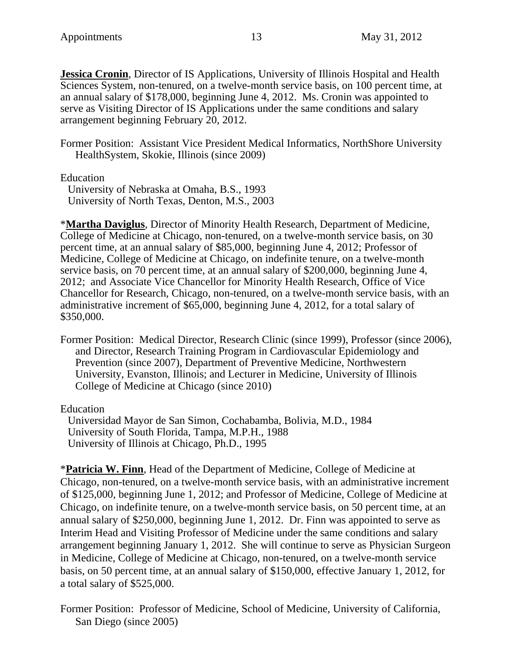**Jessica Cronin**, Director of IS Applications, University of Illinois Hospital and Health Sciences System, non-tenured, on a twelve-month service basis, on 100 percent time, at an annual salary of \$178,000, beginning June 4, 2012. Ms. Cronin was appointed to serve as Visiting Director of IS Applications under the same conditions and salary arrangement beginning February 20, 2012.

Former Position: Assistant Vice President Medical Informatics, NorthShore University HealthSystem, Skokie, Illinois (since 2009)

Education

University of Nebraska at Omaha, B.S., 1993 University of North Texas, Denton, M.S., 2003

\***Martha Daviglus**, Director of Minority Health Research, Department of Medicine, College of Medicine at Chicago, non-tenured, on a twelve-month service basis, on 30 percent time, at an annual salary of \$85,000, beginning June 4, 2012; Professor of Medicine, College of Medicine at Chicago, on indefinite tenure, on a twelve-month service basis, on 70 percent time, at an annual salary of \$200,000, beginning June 4, 2012; and Associate Vice Chancellor for Minority Health Research, Office of Vice Chancellor for Research, Chicago, non-tenured, on a twelve-month service basis, with an administrative increment of \$65,000, beginning June 4, 2012, for a total salary of \$350,000.

Former Position: Medical Director, Research Clinic (since 1999), Professor (since 2006), and Director, Research Training Program in Cardiovascular Epidemiology and Prevention (since 2007), Department of Preventive Medicine, Northwestern University, Evanston, Illinois; and Lecturer in Medicine, University of Illinois College of Medicine at Chicago (since 2010)

Education

Universidad Mayor de San Simon, Cochabamba, Bolivia, M.D., 1984 University of South Florida, Tampa, M.P.H., 1988 University of Illinois at Chicago, Ph.D., 1995

\***Patricia W. Finn**, Head of the Department of Medicine, College of Medicine at Chicago, non-tenured, on a twelve-month service basis, with an administrative increment of \$125,000, beginning June 1, 2012; and Professor of Medicine, College of Medicine at Chicago, on indefinite tenure, on a twelve-month service basis, on 50 percent time, at an annual salary of \$250,000, beginning June 1, 2012. Dr. Finn was appointed to serve as Interim Head and Visiting Professor of Medicine under the same conditions and salary arrangement beginning January 1, 2012. She will continue to serve as Physician Surgeon in Medicine, College of Medicine at Chicago, non-tenured, on a twelve-month service basis, on 50 percent time, at an annual salary of \$150,000, effective January 1, 2012, for a total salary of \$525,000.

Former Position: Professor of Medicine, School of Medicine, University of California, San Diego (since 2005)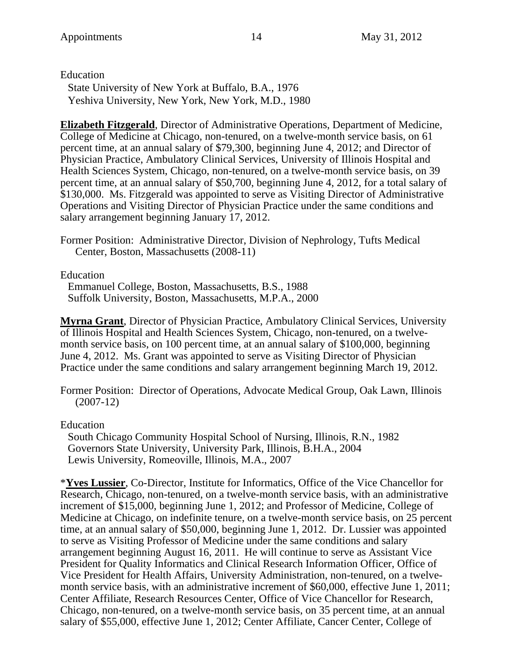Education

State University of New York at Buffalo, B.A., 1976 Yeshiva University, New York, New York, M.D., 1980

**Elizabeth Fitzgerald**, Director of Administrative Operations, Department of Medicine, College of Medicine at Chicago, non-tenured, on a twelve-month service basis, on 61 percent time, at an annual salary of \$79,300, beginning June 4, 2012; and Director of Physician Practice, Ambulatory Clinical Services, University of Illinois Hospital and Health Sciences System, Chicago, non-tenured, on a twelve-month service basis, on 39 percent time, at an annual salary of \$50,700, beginning June 4, 2012, for a total salary of \$130,000. Ms. Fitzgerald was appointed to serve as Visiting Director of Administrative Operations and Visiting Director of Physician Practice under the same conditions and salary arrangement beginning January 17, 2012.

Former Position: Administrative Director, Division of Nephrology, Tufts Medical Center, Boston, Massachusetts (2008-11)

Education

Emmanuel College, Boston, Massachusetts, B.S., 1988 Suffolk University, Boston, Massachusetts, M.P.A., 2000

**Myrna Grant**, Director of Physician Practice, Ambulatory Clinical Services, University of Illinois Hospital and Health Sciences System, Chicago, non-tenured, on a twelvemonth service basis, on 100 percent time, at an annual salary of \$100,000, beginning June 4, 2012. Ms. Grant was appointed to serve as Visiting Director of Physician Practice under the same conditions and salary arrangement beginning March 19, 2012.

Former Position: Director of Operations, Advocate Medical Group, Oak Lawn, Illinois (2007-12)

Education

South Chicago Community Hospital School of Nursing, Illinois, R.N., 1982 Governors State University, University Park, Illinois, B.H.A., 2004 Lewis University, Romeoville, Illinois, M.A., 2007

\***Yves Lussier**, Co-Director, Institute for Informatics, Office of the Vice Chancellor for Research, Chicago, non-tenured, on a twelve-month service basis, with an administrative increment of \$15,000, beginning June 1, 2012; and Professor of Medicine, College of Medicine at Chicago, on indefinite tenure, on a twelve-month service basis, on 25 percent time, at an annual salary of \$50,000, beginning June 1, 2012. Dr. Lussier was appointed to serve as Visiting Professor of Medicine under the same conditions and salary arrangement beginning August 16, 2011. He will continue to serve as Assistant Vice President for Quality Informatics and Clinical Research Information Officer, Office of Vice President for Health Affairs, University Administration, non-tenured, on a twelvemonth service basis, with an administrative increment of \$60,000, effective June 1, 2011; Center Affiliate, Research Resources Center, Office of Vice Chancellor for Research, Chicago, non-tenured, on a twelve-month service basis, on 35 percent time, at an annual salary of \$55,000, effective June 1, 2012; Center Affiliate, Cancer Center, College of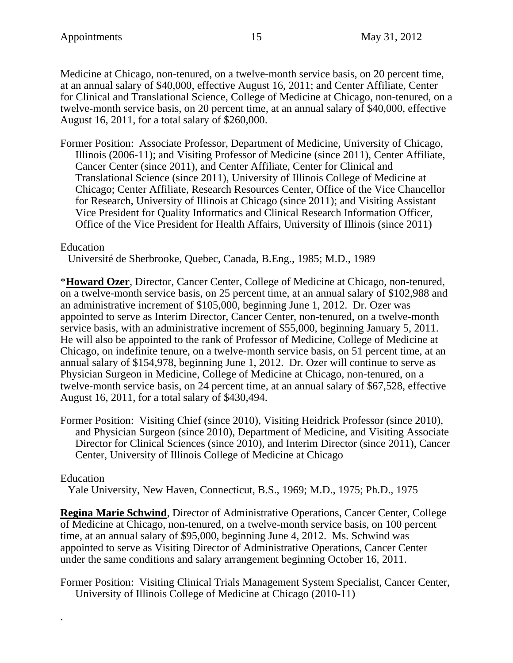Medicine at Chicago, non-tenured, on a twelve-month service basis, on 20 percent time, at an annual salary of \$40,000, effective August 16, 2011; and Center Affiliate, Center for Clinical and Translational Science, College of Medicine at Chicago, non-tenured, on a twelve-month service basis, on 20 percent time, at an annual salary of \$40,000, effective August 16, 2011, for a total salary of \$260,000.

Former Position: Associate Professor, Department of Medicine, University of Chicago, Illinois (2006-11); and Visiting Professor of Medicine (since 2011), Center Affiliate, Cancer Center (since 2011), and Center Affiliate, Center for Clinical and Translational Science (since 2011), University of Illinois College of Medicine at Chicago; Center Affiliate, Research Resources Center, Office of the Vice Chancellor for Research, University of Illinois at Chicago (since 2011); and Visiting Assistant Vice President for Quality Informatics and Clinical Research Information Officer, Office of the Vice President for Health Affairs, University of Illinois (since 2011)

## Education

Université de Sherbrooke, Quebec, Canada, B.Eng., 1985; M.D., 1989

\***Howard Ozer**, Director, Cancer Center, College of Medicine at Chicago, non-tenured, on a twelve-month service basis, on 25 percent time, at an annual salary of \$102,988 and an administrative increment of \$105,000, beginning June 1, 2012. Dr. Ozer was appointed to serve as Interim Director, Cancer Center, non-tenured, on a twelve-month service basis, with an administrative increment of \$55,000, beginning January 5, 2011. He will also be appointed to the rank of Professor of Medicine, College of Medicine at Chicago, on indefinite tenure, on a twelve-month service basis, on 51 percent time, at an annual salary of \$154,978, beginning June 1, 2012. Dr. Ozer will continue to serve as Physician Surgeon in Medicine, College of Medicine at Chicago, non-tenured, on a twelve-month service basis, on 24 percent time, at an annual salary of \$67,528, effective August 16, 2011, for a total salary of \$430,494.

Former Position: Visiting Chief (since 2010), Visiting Heidrick Professor (since 2010), and Physician Surgeon (since 2010), Department of Medicine, and Visiting Associate Director for Clinical Sciences (since 2010), and Interim Director (since 2011), Cancer Center, University of Illinois College of Medicine at Chicago

## Education

.

Yale University, New Haven, Connecticut, B.S., 1969; M.D., 1975; Ph.D., 1975

**Regina Marie Schwind**, Director of Administrative Operations, Cancer Center, College of Medicine at Chicago, non-tenured, on a twelve-month service basis, on 100 percent time, at an annual salary of \$95,000, beginning June 4, 2012. Ms. Schwind was appointed to serve as Visiting Director of Administrative Operations, Cancer Center under the same conditions and salary arrangement beginning October 16, 2011.

Former Position: Visiting Clinical Trials Management System Specialist, Cancer Center, University of Illinois College of Medicine at Chicago (2010-11)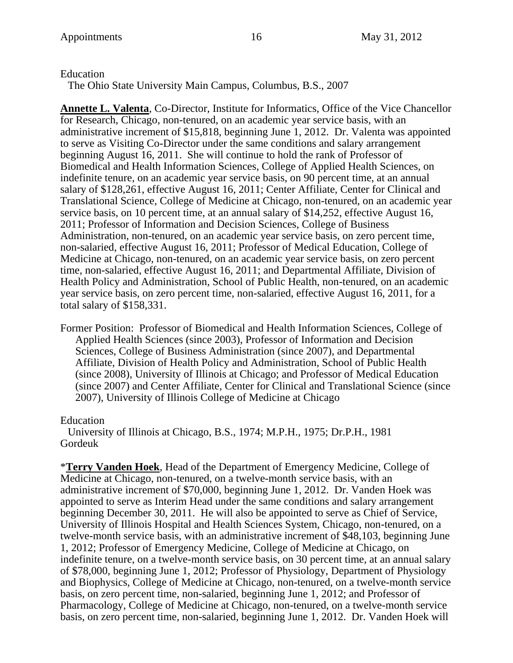### Education

The Ohio State University Main Campus, Columbus, B.S., 2007

**Annette L. Valenta**, Co-Director, Institute for Informatics, Office of the Vice Chancellor for Research, Chicago, non-tenured, on an academic year service basis, with an administrative increment of \$15,818, beginning June 1, 2012. Dr. Valenta was appointed to serve as Visiting Co-Director under the same conditions and salary arrangement beginning August 16, 2011. She will continue to hold the rank of Professor of Biomedical and Health Information Sciences, College of Applied Health Sciences, on indefinite tenure, on an academic year service basis, on 90 percent time, at an annual salary of \$128,261, effective August 16, 2011; Center Affiliate, Center for Clinical and Translational Science, College of Medicine at Chicago, non-tenured, on an academic year service basis, on 10 percent time, at an annual salary of \$14,252, effective August 16, 2011; Professor of Information and Decision Sciences, College of Business Administration, non-tenured, on an academic year service basis, on zero percent time, non-salaried, effective August 16, 2011; Professor of Medical Education, College of Medicine at Chicago, non-tenured, on an academic year service basis, on zero percent time, non-salaried, effective August 16, 2011; and Departmental Affiliate, Division of Health Policy and Administration, School of Public Health, non-tenured, on an academic year service basis, on zero percent time, non-salaried, effective August 16, 2011, for a total salary of \$158,331.

Former Position: Professor of Biomedical and Health Information Sciences, College of Applied Health Sciences (since 2003), Professor of Information and Decision Sciences, College of Business Administration (since 2007), and Departmental Affiliate, Division of Health Policy and Administration, School of Public Health (since 2008), University of Illinois at Chicago; and Professor of Medical Education (since 2007) and Center Affiliate, Center for Clinical and Translational Science (since 2007), University of Illinois College of Medicine at Chicago

## Education

University of Illinois at Chicago, B.S., 1974; M.P.H., 1975; Dr.P.H., 1981 Gordeuk

\***Terry Vanden Hoek**, Head of the Department of Emergency Medicine, College of Medicine at Chicago, non-tenured, on a twelve-month service basis, with an administrative increment of \$70,000, beginning June 1, 2012. Dr. Vanden Hoek was appointed to serve as Interim Head under the same conditions and salary arrangement beginning December 30, 2011. He will also be appointed to serve as Chief of Service, University of Illinois Hospital and Health Sciences System, Chicago, non-tenured, on a twelve-month service basis, with an administrative increment of \$48,103, beginning June 1, 2012; Professor of Emergency Medicine, College of Medicine at Chicago, on indefinite tenure, on a twelve-month service basis, on 30 percent time, at an annual salary of \$78,000, beginning June 1, 2012; Professor of Physiology, Department of Physiology and Biophysics, College of Medicine at Chicago, non-tenured, on a twelve-month service basis, on zero percent time, non-salaried, beginning June 1, 2012; and Professor of Pharmacology, College of Medicine at Chicago, non-tenured, on a twelve-month service basis, on zero percent time, non-salaried, beginning June 1, 2012. Dr. Vanden Hoek will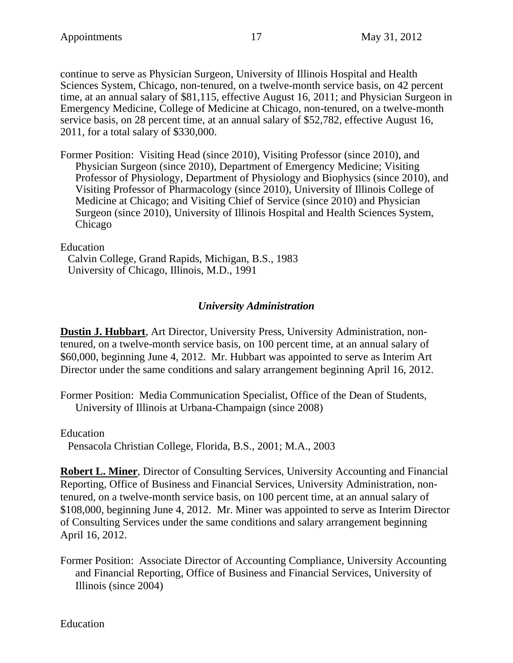continue to serve as Physician Surgeon, University of Illinois Hospital and Health Sciences System, Chicago, non-tenured, on a twelve-month service basis, on 42 percent time, at an annual salary of \$81,115, effective August 16, 2011; and Physician Surgeon in Emergency Medicine, College of Medicine at Chicago, non-tenured, on a twelve-month service basis, on 28 percent time, at an annual salary of \$52,782, effective August 16, 2011, for a total salary of \$330,000.

Former Position: Visiting Head (since 2010), Visiting Professor (since 2010), and Physician Surgeon (since 2010), Department of Emergency Medicine; Visiting Professor of Physiology, Department of Physiology and Biophysics (since 2010), and Visiting Professor of Pharmacology (since 2010), University of Illinois College of Medicine at Chicago; and Visiting Chief of Service (since 2010) and Physician Surgeon (since 2010), University of Illinois Hospital and Health Sciences System, Chicago

Education

Calvin College, Grand Rapids, Michigan, B.S., 1983 University of Chicago, Illinois, M.D., 1991

# *University Administration*

**Dustin J. Hubbart**, Art Director, University Press, University Administration, nontenured, on a twelve-month service basis, on 100 percent time, at an annual salary of \$60,000, beginning June 4, 2012. Mr. Hubbart was appointed to serve as Interim Art Director under the same conditions and salary arrangement beginning April 16, 2012.

Former Position: Media Communication Specialist, Office of the Dean of Students, University of Illinois at Urbana-Champaign (since 2008)

Education

Pensacola Christian College, Florida, B.S., 2001; M.A., 2003

**Robert L. Miner**, Director of Consulting Services, University Accounting and Financial Reporting, Office of Business and Financial Services, University Administration, nontenured, on a twelve-month service basis, on 100 percent time, at an annual salary of \$108,000, beginning June 4, 2012. Mr. Miner was appointed to serve as Interim Director of Consulting Services under the same conditions and salary arrangement beginning April 16, 2012.

Former Position: Associate Director of Accounting Compliance, University Accounting and Financial Reporting, Office of Business and Financial Services, University of Illinois (since 2004)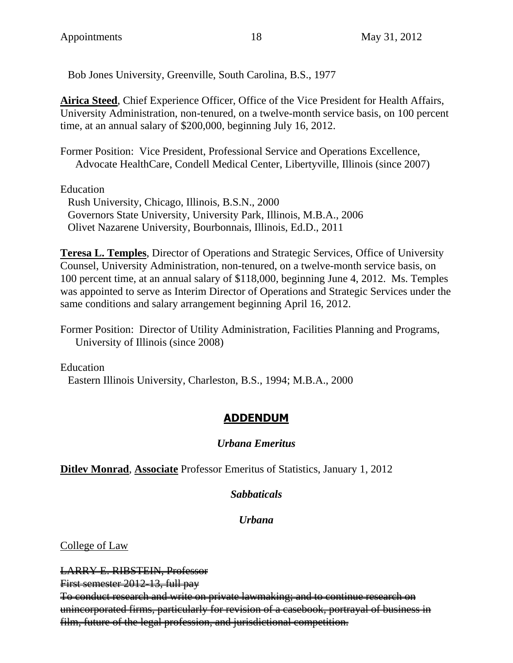Bob Jones University, Greenville, South Carolina, B.S., 1977

**Airica Steed**, Chief Experience Officer, Office of the Vice President for Health Affairs, University Administration, non-tenured, on a twelve-month service basis, on 100 percent time, at an annual salary of \$200,000, beginning July 16, 2012.

Former Position: Vice President, Professional Service and Operations Excellence, Advocate HealthCare, Condell Medical Center, Libertyville, Illinois (since 2007)

Education

Rush University, Chicago, Illinois, B.S.N., 2000 Governors State University, University Park, Illinois, M.B.A., 2006 Olivet Nazarene University, Bourbonnais, Illinois, Ed.D., 2011

**Teresa L. Temples**, Director of Operations and Strategic Services, Office of University Counsel, University Administration, non-tenured, on a twelve-month service basis, on 100 percent time, at an annual salary of \$118,000, beginning June 4, 2012. Ms. Temples was appointed to serve as Interim Director of Operations and Strategic Services under the same conditions and salary arrangement beginning April 16, 2012.

Former Position: Director of Utility Administration, Facilities Planning and Programs, University of Illinois (since 2008)

Education Eastern Illinois University, Charleston, B.S., 1994; M.B.A., 2000

# **ADDENDUM**

# *Urbana Emeritus*

**Ditlev Monrad**, **Associate** Professor Emeritus of Statistics, January 1, 2012

# *Sabbaticals*

# *Urbana*

College of Law

LARRY E. RIBSTEIN, Professor First semester 2012-13, full pay To conduct research and write on private lawmaking; and to continue research on unincorporated firms, particularly for revision of a casebook, portrayal of business in film, future of the legal profession, and jurisdictional competition.